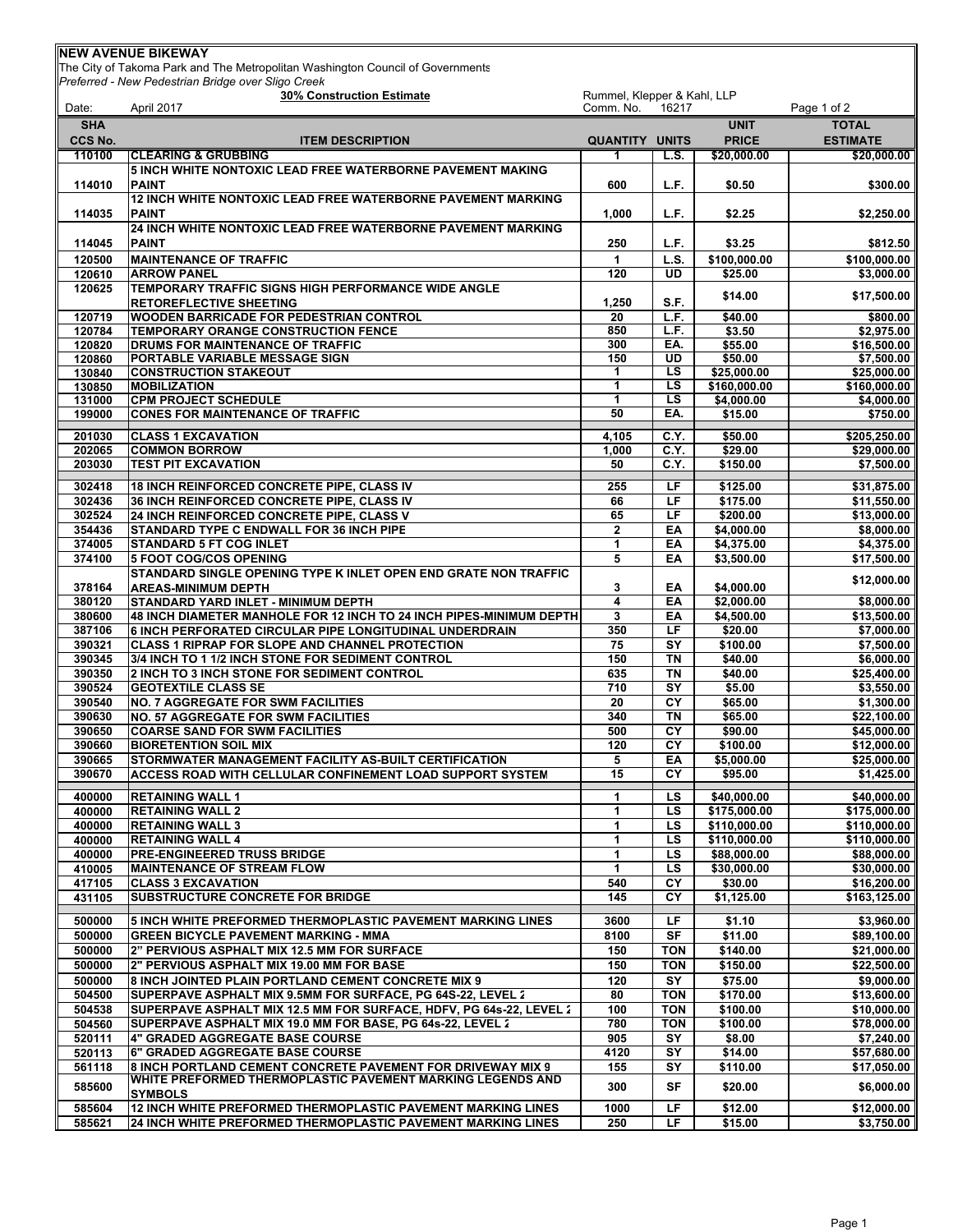| <b>INEW AVENUE BIKEWAY</b> |                                                                                                                                |                       |                          |                          |                            |
|----------------------------|--------------------------------------------------------------------------------------------------------------------------------|-----------------------|--------------------------|--------------------------|----------------------------|
|                            | The City of Takoma Park and The Metropolitan Washington Council of Governments                                                 |                       |                          |                          |                            |
|                            | Preferred - New Pedestrian Bridge over Sligo Creek<br><b>30% Construction Estimate</b>                                         |                       |                          |                          |                            |
| Date:                      | Rummel, Klepper & Kahl, LLP<br>April 2017<br>Comm. No.<br>16217                                                                |                       |                          |                          | Page 1 of 2                |
| <b>SHA</b>                 |                                                                                                                                |                       |                          | <b>UNIT</b>              | <b>TOTAL</b>               |
| CCS No.                    | <b>ITEM DESCRIPTION</b>                                                                                                        | <b>QUANTITY UNITS</b> |                          | <b>PRICE</b>             | <b>ESTIMATE</b>            |
| 110100                     | <b>CLEARING &amp; GRUBBING</b>                                                                                                 |                       | L.S.                     | \$20,000.00              | \$20,000.00                |
|                            | <b>5 INCH WHITE NONTOXIC LEAD FREE WATERBORNE PAVEMENT MAKING</b>                                                              |                       |                          |                          |                            |
| 114010                     | <b>PAINT</b>                                                                                                                   | 600                   | L.F.                     | \$0.50                   | \$300.00                   |
| 114035                     | <b>12 INCH WHITE NONTOXIC LEAD FREE WATERBORNE PAVEMENT MARKING</b><br><b>PAINT</b>                                            | 1,000                 | L.F.                     | \$2.25                   | \$2,250.00                 |
|                            | 24 INCH WHITE NONTOXIC LEAD FREE WATERBORNE PAVEMENT MARKING                                                                   |                       |                          |                          |                            |
| 114045                     | <b>PAINT</b>                                                                                                                   | 250                   | L.F.                     | \$3.25                   | \$812.50                   |
| 120500                     | <b>MAINTENANCE OF TRAFFIC</b>                                                                                                  | $\mathbf{1}$          | L.S.                     | \$100.000.00             | \$100,000,00               |
| 120610                     | <b>ARROW PANEL</b>                                                                                                             | 120                   | <b>UD</b>                | \$25.00                  | \$3,000.00                 |
| 120625                     | TEMPORARY TRAFFIC SIGNS HIGH PERFORMANCE WIDE ANGLE                                                                            |                       |                          | \$14.00                  | \$17,500.00                |
|                            | <b>RETOREFLECTIVE SHEETING</b>                                                                                                 | 1,250                 | S.F.                     |                          |                            |
| 120719<br>120784           | <b>WOODEN BARRICADE FOR PEDESTRIAN CONTROL</b><br>TEMPORARY ORANGE CONSTRUCTION FENCE                                          | 20<br>850             | L.F.<br>L.F.             | \$40.00<br>\$3.50        | \$800.00<br>\$2,975.00     |
| 120820                     | <b>DRUMS FOR MAINTENANCE OF TRAFFIC</b>                                                                                        | 300                   | EA.                      | \$55.00                  | \$16,500.00                |
| 120860                     | PORTABLE VARIABLE MESSAGE SIGN                                                                                                 | 150                   | <b>UD</b>                | \$50.00                  | \$7,500.00                 |
| 130840                     | <b>CONSTRUCTION STAKEOUT</b>                                                                                                   | 1                     | LS                       | \$25,000.00              | \$25,000.00                |
| 130850                     | <b>MOBILIZATION</b>                                                                                                            | 1                     | LS.                      | \$160,000.00             | \$160,000.00               |
| 131000<br>199000           | <b>CPM PROJECT SCHEDULE</b><br><b>CONES FOR MAINTENANCE OF TRAFFIC</b>                                                         | $\mathbf{1}$<br>50    | LS<br>EA.                | \$4,000.00<br>\$15.00    | \$4,000.00<br>\$750.00     |
|                            |                                                                                                                                |                       |                          |                          |                            |
| 201030                     | <b>CLASS 1 EXCAVATION</b>                                                                                                      | 4,105                 | C.Y.                     | \$50.00                  | \$205.250.00               |
| 202065<br>203030           | <b>COMMON BORROW</b><br><b>TEST PIT EXCAVATION</b>                                                                             | 1,000<br>50           | C.Y.<br>C.Y.             | \$29.00<br>\$150.00      | \$29,000.00<br>\$7.500.00  |
|                            |                                                                                                                                |                       |                          |                          |                            |
| 302418                     | 18 INCH REINFORCED CONCRETE PIPE, CLASS IV                                                                                     | 255                   | LF                       | \$125.00                 | \$31,875.00                |
| 302436<br>302524           | 36 INCH REINFORCED CONCRETE PIPE, CLASS IV<br>24 INCH REINFORCED CONCRETE PIPE, CLASS V                                        | 66<br>65              | LF<br>LF                 | \$175.00<br>\$200.00     | \$11,550.00<br>\$13,000.00 |
| 354436                     | STANDARD TYPE C ENDWALL FOR 36 INCH PIPE                                                                                       | $\mathbf{2}$          | EA                       | \$4,000.00               | \$8,000.00                 |
| 374005                     | <b>STANDARD 5 FT COG INLET</b>                                                                                                 | $\mathbf{1}$          | EA                       | \$4,375.00               | \$4,375.00                 |
| 374100                     | <b>5 FOOT COG/COS OPENING</b>                                                                                                  | 5                     | EA                       | \$3,500.00               | \$17,500.00                |
|                            | STANDARD SINGLE OPENING TYPE K INLET OPEN END GRATE NON TRAFFIC                                                                |                       |                          |                          | \$12,000.00                |
| 378164                     | <b>AREAS-MINIMUM DEPTH</b>                                                                                                     | 3                     | ΕA                       | \$4,000.00               |                            |
| 380120<br>380600           | STANDARD YARD INLET - MINIMUM DEPTH                                                                                            | 4<br>3                | EA                       | \$2,000.00<br>\$4,500.00 | \$8,000.00                 |
| 387106                     | 48 INCH DIAMETER MANHOLE FOR 12 INCH TO 24 INCH PIPES-MINIMUM DEPTH<br>6 INCH PERFORATED CIRCULAR PIPE LONGITUDINAL UNDERDRAIN | 350                   | EA<br>LF                 | \$20.00                  | \$13,500.00<br>\$7,000.00  |
| 390321                     | <b>CLASS 1 RIPRAP FOR SLOPE AND CHANNEL PROTECTION</b>                                                                         | 75                    | SY                       | \$100.00                 | \$7,500.00                 |
| 390345                     | 3/4 INCH TO 1 1/2 INCH STONE FOR SEDIMENT CONTROL                                                                              | 150                   | TN                       | \$40.00                  | \$6,000.00                 |
| 390350                     | 2 INCH TO 3 INCH STONE FOR SEDIMENT CONTROL                                                                                    | 635                   | <b>TN</b>                | \$40.00                  | \$25,400.00                |
| 390524                     | <b>GEOTEXTILE CLASS SE</b>                                                                                                     | 710                   | $\overline{\mathsf{SY}}$ | \$5.00                   | \$3,550.00                 |
| 390540<br>390630           | <b>NO. 7 AGGREGATE FOR SWM FACILITIES</b>                                                                                      | 20<br>340             | CY<br><b>TN</b>          | \$65.00<br>\$65.00       | \$1,300.00<br>\$22,100.00  |
| 390650                     | <b>NO. 57 AGGREGATE FOR SWM FACILITIES</b><br><b>COARSE SAND FOR SWM FACILITIES</b>                                            | 500                   | CY                       | \$90.00                  | \$45,000.00                |
| 390660                     | <b>BIORETENTION SOIL MIX</b>                                                                                                   | 120                   | СY                       | \$100.00                 | \$12,000.00                |
| 390665                     | STORMWATER MANAGEMENT FACILITY AS-BUILT CERTIFICATION                                                                          | 5                     | ΕA                       | \$5,000.00               | \$25,000.00                |
| 390670                     | <b>ACCESS ROAD WITH CELLULAR CONFINEMENT LOAD SUPPORT SYSTEM</b>                                                               | 15                    | СY                       | \$95.00                  | \$1,425.00                 |
| 400000                     | <b>RETAINING WALL 1</b>                                                                                                        | 1                     | LS                       | \$40,000.00              | \$40,000.00                |
| 400000                     | <b>RETAINING WALL 2</b>                                                                                                        | 1                     | LS                       | \$175,000.00             | \$175,000.00               |
| 400000                     | <b>RETAINING WALL 3</b>                                                                                                        | 1                     | LS.                      | \$110,000.00             | \$110,000.00               |
| 400000                     | <b>RETAINING WALL 4</b>                                                                                                        | 1                     | LS.                      | \$110,000.00             | \$110,000.00               |
| 400000                     | <b>PRE-ENGINEERED TRUSS BRIDGE</b>                                                                                             | 1                     | LS.                      | \$88,000.00              | \$88,000.00                |
| 410005<br>417105           | <b>MAINTENANCE OF STREAM FLOW</b><br><b>CLASS 3 EXCAVATION</b>                                                                 | $\mathbf{1}$<br>540   | LS.<br>CY                | \$30,000.00<br>\$30.00   | \$30,000.00<br>\$16,200.00 |
| 431105                     | <b>SUBSTRUCTURE CONCRETE FOR BRIDGE</b>                                                                                        | 145                   | CY                       | \$1,125.00               | \$163,125.00               |
|                            |                                                                                                                                |                       |                          |                          |                            |
| 500000                     | 5 INCH WHITE PREFORMED THERMOPLASTIC PAVEMENT MARKING LINES                                                                    | 3600                  | LF                       | \$1.10                   | \$3,960.00                 |
| 500000<br>500000           | <b>GREEN BICYCLE PAVEMENT MARKING - MMA</b><br>2" PERVIOUS ASPHALT MIX 12.5 MM FOR SURFACE                                     | 8100<br>150           | SF<br><b>TON</b>         | \$11.00<br>\$140.00      | \$89,100.00<br>\$21,000.00 |
| 500000                     | 2" PERVIOUS ASPHALT MIX 19.00 MM FOR BASE                                                                                      | 150                   | <b>TON</b>               | \$150.00                 | \$22,500.00                |
| 500000                     | 8 INCH JOINTED PLAIN PORTLAND CEMENT CONCRETE MIX 9                                                                            | 120                   | SY                       | \$75.00                  | \$9,000.00                 |
| 504500                     | SUPERPAVE ASPHALT MIX 9.5MM FOR SURFACE, PG 64S-22, LEVEL 2                                                                    | 80                    | <b>TON</b>               | \$170.00                 | \$13,600.00                |
| 504538                     | SUPERPAVE ASPHALT MIX 12.5 MM FOR SURFACE, HDFV, PG 64s-22, LEVEL 2                                                            | 100                   | <b>TON</b>               | \$100.00                 | \$10,000.00                |
| 504560                     | SUPERPAVE ASPHALT MIX 19.0 MM FOR BASE, PG 64s-22, LEVEL 2                                                                     | 780                   | <b>TON</b>               | \$100.00                 | \$78,000.00                |
| 520111                     | <b>4" GRADED AGGREGATE BASE COURSE</b>                                                                                         | 905                   | SY                       | \$8.00                   | \$7,240.00                 |
| 520113<br>561118           | 6" GRADED AGGREGATE BASE COURSE<br>8 INCH PORTLAND CEMENT CONCRETE PAVEMENT FOR DRIVEWAY MIX 9                                 | 4120<br>155           | SY<br>SY                 | \$14.00<br>\$110.00      | \$57,680.00<br>\$17,050.00 |
|                            | WHITE PREFORMED THERMOPLASTIC PAVEMENT MARKING LEGENDS AND                                                                     |                       |                          |                          |                            |
| 585600                     | <b>SYMBOLS</b>                                                                                                                 | 300                   | SF                       | \$20.00                  | \$6,000.00                 |
| 585604                     | 12 INCH WHITE PREFORMED THERMOPLASTIC PAVEMENT MARKING LINES                                                                   | 1000                  | LF                       | \$12.00                  | \$12,000.00                |
| 585621                     | 24 INCH WHITE PREFORMED THERMOPLASTIC PAVEMENT MARKING LINES                                                                   | 250                   | LF                       | \$15.00                  | \$3,750.00                 |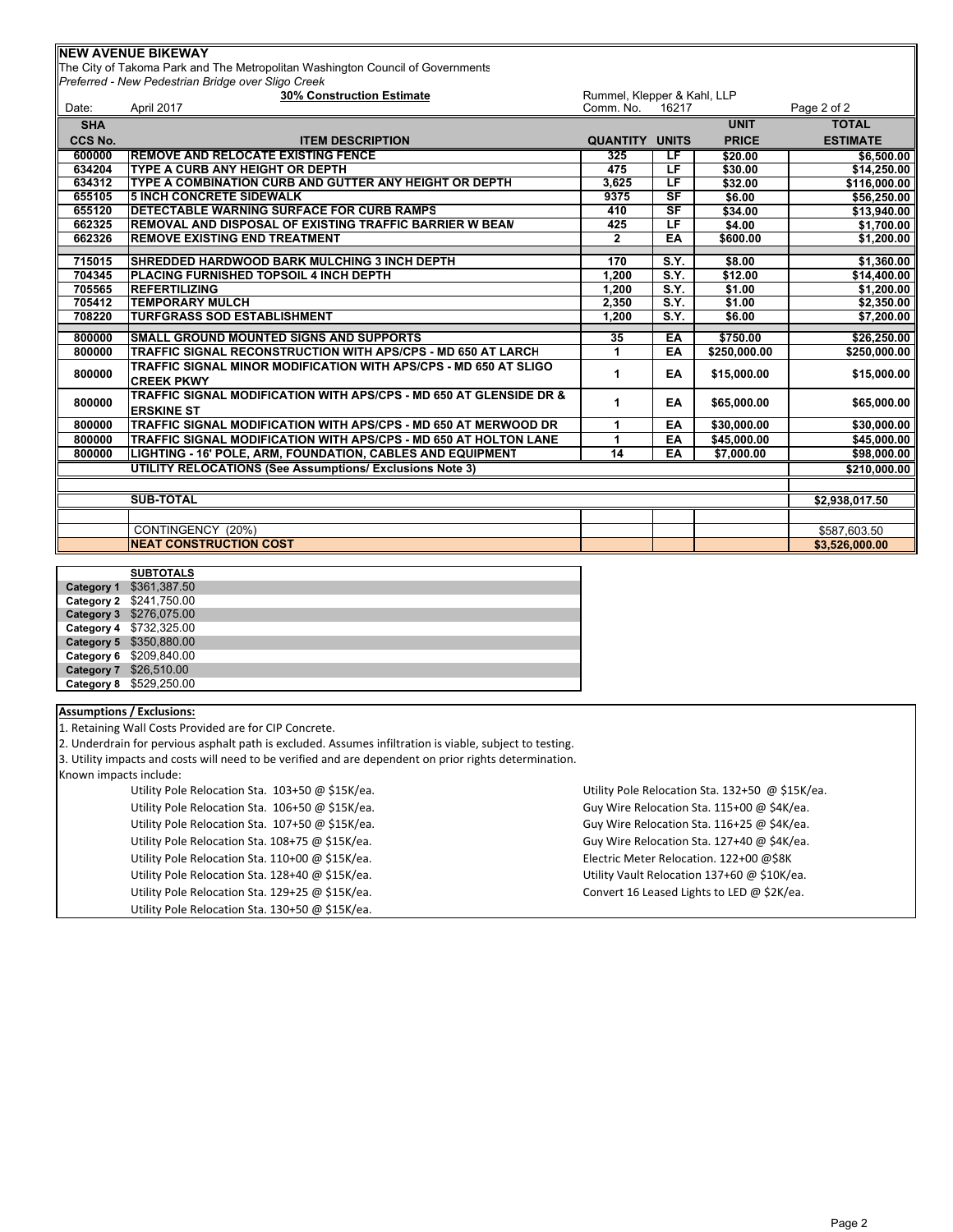## **NEW AVENUE BIKEWAY**

The City of Takoma Park and The Metropolitan Washington Council of Governments *Preferred - New Pedestrian Bridge over Sligo Creek*

|            | <b>30% Construction Estimate</b>                                                        | Rummel, Klepper & Kahl, LLP |                                   |              |                 |
|------------|-----------------------------------------------------------------------------------------|-----------------------------|-----------------------------------|--------------|-----------------|
| Date:      | April 2017                                                                              | Comm. No.                   | 16217                             |              | Page 2 of 2     |
| <b>SHA</b> |                                                                                         |                             |                                   | <b>UNIT</b>  | <b>TOTAL</b>    |
| CCS No.    | <b>ITEM DESCRIPTION</b>                                                                 | <b>QUANTITY</b>             | <b>UNITS</b>                      | <b>PRICE</b> | <b>ESTIMATE</b> |
| 600000     | <b>REMOVE AND RELOCATE EXISTING FENCE</b>                                               | 325                         | τF                                | \$20.00      | \$6,500.00      |
| 634204     | TYPE A CURB ANY HEIGHT OR DEPTH                                                         | 475                         | LF.                               | \$30.00      | \$14,250.00     |
| 634312     | TYPE A COMBINATION CURB AND GUTTER ANY HEIGHT OR DEPTH                                  | 3,625                       | LF                                | \$32.00      | \$116,000.00    |
| 655105     | <b>5 INCH CONCRETE SIDEWALK</b>                                                         | 9375                        | $\overline{\mathsf{S}\mathsf{F}}$ | \$6.00       | \$56,250.00     |
| 655120     | <b>DETECTABLE WARNING SURFACE FOR CURB RAMPS</b>                                        | 410                         | $S$ F                             | \$34.00      | \$13,940.00     |
| 662325     | <b>REMOVAL AND DISPOSAL OF EXISTING TRAFFIC BARRIER W BEAN</b>                          | 425                         | $\overline{\mathsf{L}\mathsf{F}}$ | \$4.00       | \$1,700.00      |
| 662326     | <b>REMOVE EXISTING END TREATMENT</b>                                                    | $\mathbf{2}$                | EA                                | \$600.00     | \$1,200.00      |
| 715015     | <b>SHREDDED HARDWOOD BARK MULCHING 3 INCH DEPTH</b>                                     | 170                         | S.Y.                              | \$8.00       | \$1,360.00      |
| 704345     | PLACING FURNISHED TOPSOIL 4 INCH DEPTH                                                  | 1.200                       | S.Y.                              | \$12.00      | \$14,400.00     |
| 705565     | <b>REFERTILIZING</b>                                                                    | 1,200                       | S.Y.                              | \$1.00       | \$1,200.00      |
| 705412     | <b>TEMPORARY MULCH</b>                                                                  | 2,350                       | S.Y.                              | \$1.00       | \$2,350.00      |
| 708220     | <b>TURFGRASS SOD ESTABLISHMENT</b>                                                      | 1,200                       | S.Y.                              | \$6.00       | \$7,200.00      |
|            |                                                                                         |                             |                                   |              |                 |
| 800000     | <b>SMALL GROUND MOUNTED SIGNS AND SUPPORTS</b>                                          | 35                          | EA                                | \$750.00     | \$26,250.00     |
| 800000     | TRAFFIC SIGNAL RECONSTRUCTION WITH APS/CPS - MD 650 AT LARCH                            | 1                           | EA                                | \$250,000.00 | \$250,000.00    |
| 800000     | TRAFFIC SIGNAL MINOR MODIFICATION WITH APS/CPS - MD 650 AT SLIGO<br><b>CREEK PKWY</b>   | 1                           | EA                                | \$15,000.00  | \$15,000.00     |
| 800000     | TRAFFIC SIGNAL MODIFICATION WITH APS/CPS - MD 650 AT GLENSIDE DR &<br><b>ERSKINE ST</b> | 1                           | EA                                | \$65,000.00  | \$65,000.00     |
| 800000     | TRAFFIC SIGNAL MODIFICATION WITH APS/CPS - MD 650 AT MERWOOD DR                         |                             | EA                                | \$30,000.00  | \$30,000.00     |
| 800000     | TRAFFIC SIGNAL MODIFICATION WITH APS/CPS - MD 650 AT HOLTON LANE                        |                             | EA                                | \$45,000.00  | \$45,000.00     |
| 800000     | LIGHTING - 16' POLE, ARM, FOUNDATION, CABLES AND EQUIPMENT                              | 14                          | EA                                | \$7,000.00   | \$98,000.00     |
|            | UTILITY RELOCATIONS (See Assumptions/ Exclusions Note 3)                                |                             |                                   |              | \$210,000.00    |
|            |                                                                                         |                             |                                   |              |                 |
|            | <b>SUB-TOTAL</b>                                                                        |                             |                                   |              | \$2,938,017.50  |
|            |                                                                                         |                             |                                   |              |                 |
|            | CONTINGENCY (20%)                                                                       |                             |                                   |              | \$587,603.50    |
|            | <b>NEAT CONSTRUCTION COST</b>                                                           |                             |                                   |              | \$3.526,000.00  |

| <b>SUBTOTALS</b>        |
|-------------------------|
| Category 1 \$361,387.50 |
| Category 2 \$241,750.00 |
| Category 3 \$276,075.00 |
| Category 4 \$732,325.00 |
| Category 5 \$350,880.00 |
| Category 6 \$209,840.00 |
| Category 7 \$26,510.00  |
| Category 8 \$529,250.00 |
|                         |

## **Assumptions / Exclusions:**

1. Retaining Wall Costs Provided are for CIP Concrete.

2. Underdrain for pervious asphalt path is excluded. Assumes infiltration is viable, subject to testing.

3. Utility impacts and costs will need to be verified and are dependent on prior rights determination.

Known impacts include:

| Utility Pole Relocation Sta. 103+50 @ \$15K/ea. |
|-------------------------------------------------|
| Utility Pole Relocation Sta. 106+50 @ \$15K/ea. |
| Utility Pole Relocation Sta. 107+50 @ \$15K/ea. |
| Utility Pole Relocation Sta. 108+75 @ \$15K/ea. |
| Utility Pole Relocation Sta. 110+00 @ \$15K/ea. |
| Utility Pole Relocation Sta. 128+40 @ \$15K/ea. |
| Utility Pole Relocation Sta. 129+25 @ \$15K/ea. |
| Utility Pole Relocation Sta. 130+50 @ \$15K/ea. |

Utility Pole Relocation Sta. 132+50 @ \$15K/ea. Guy Wire Relocation Sta. 115+00 @ \$4K/ea. Guy Wire Relocation Sta. 116+25 @ \$4K/ea. Guy Wire Relocation Sta. 127+40 @ \$4K/ea. Electric Meter Relocation. 122+00 @\$8K Utility Vault Relocation 137+60 @ \$10K/ea. Convert 16 Leased Lights to LED @ \$2K/ea.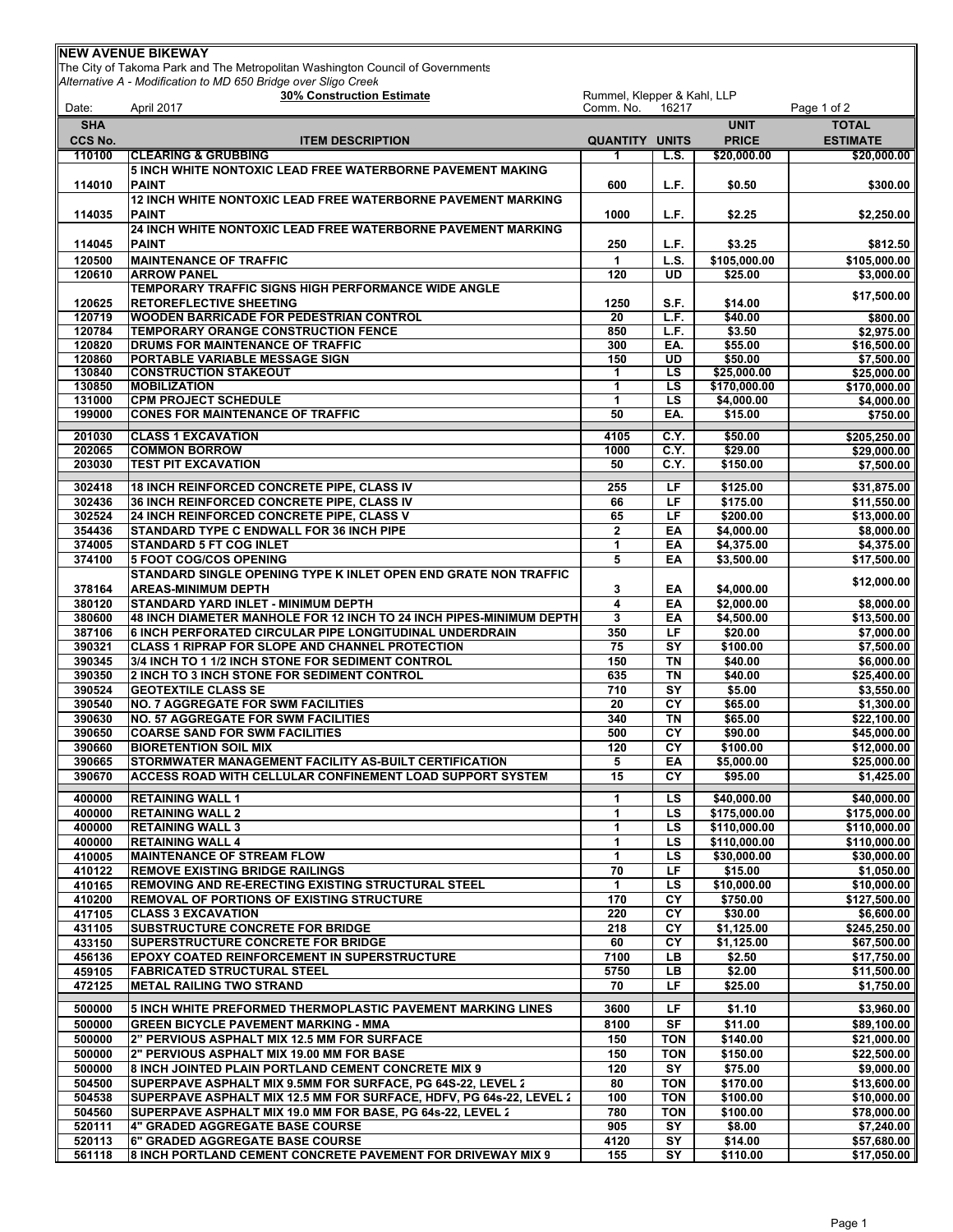|                   | Alternative A - Modification to MD 650 Bridge over Sligo Creek<br>30% Construction Estimate                                       | Rummel, Klepper & Kahl, LLP |                   |                             |                                |  |
|-------------------|-----------------------------------------------------------------------------------------------------------------------------------|-----------------------------|-------------------|-----------------------------|--------------------------------|--|
| Date:             | April 2017                                                                                                                        | Comm. No.<br>16217          |                   |                             | Page 1 of 2                    |  |
| <b>SHA</b>        |                                                                                                                                   |                             |                   | <b>UNIT</b>                 | <b>TOTAL</b>                   |  |
| CCS No.<br>110100 | <b>ITEM DESCRIPTION</b><br><b>CLEARING &amp; GRUBBING</b>                                                                         | <b>QUANTITY UNITS</b><br>1. | L.S.              | <b>PRICE</b><br>\$20,000.00 | <b>ESTIMATE</b><br>\$20,000.00 |  |
|                   | 5 INCH WHITE NONTOXIC LEAD FREE WATERBORNE PAVEMENT MAKING                                                                        |                             |                   |                             |                                |  |
| 114010            | <b>PAINT</b>                                                                                                                      | 600                         | L.F.              | \$0.50                      | \$300.00                       |  |
|                   | 12 INCH WHITE NONTOXIC LEAD FREE WATERBORNE PAVEMENT MARKING                                                                      |                             |                   |                             |                                |  |
| 114035            | <b>PAINT</b>                                                                                                                      | 1000                        | L.F.              | \$2.25                      | \$2,250.00                     |  |
|                   | 24 INCH WHITE NONTOXIC LEAD FREE WATERBORNE PAVEMENT MARKING<br><b>PAINT</b>                                                      |                             |                   |                             |                                |  |
| 114045<br>120500  | <b>MAINTENANCE OF TRAFFIC</b>                                                                                                     | 250<br>$\mathbf{1}$         | L.F.<br>L.S.      | \$3.25<br>\$105,000.00      | \$812.50<br>\$105,000.00       |  |
| 120610            | <b>ARROW PANEL</b>                                                                                                                | 120                         | UD                | \$25.00                     | \$3,000.00                     |  |
|                   | TEMPORARY TRAFFIC SIGNS HIGH PERFORMANCE WIDE ANGLE                                                                               |                             |                   |                             | \$17,500.00                    |  |
| 120625            | <b>RETOREFLECTIVE SHEETING</b>                                                                                                    | 1250                        | S.F.              | \$14.00                     |                                |  |
| 120719            | <b>WOODEN BARRICADE FOR PEDESTRIAN CONTROL</b>                                                                                    | 20                          | L.F.              | \$40.00                     | \$800.00                       |  |
| 120784<br>120820  | TEMPORARY ORANGE CONSTRUCTION FENCE<br>DRUMS FOR MAINTENANCE OF TRAFFIC                                                           | 850<br>300                  | L.F.<br>EA.       | \$3.50<br>\$55.00           | \$2,975.00<br>\$16,500.00      |  |
| 120860            | PORTABLE VARIABLE MESSAGE SIGN                                                                                                    | 150                         | UD                | \$50.00                     | \$7,500.00                     |  |
| 130840            | <b>CONSTRUCTION STAKEOUT</b>                                                                                                      | 1                           | <b>LS</b>         | \$25,000.00                 | \$25,000.00                    |  |
| 130850            | <b>MOBILIZATION</b>                                                                                                               | 1                           | LS                | \$170,000.00                | \$170,000.00                   |  |
| 131000            | <b>CPM PROJECT SCHEDULE</b>                                                                                                       | 1                           | LS                | \$4,000.00                  | \$4,000.00                     |  |
| 199000            | <b>CONES FOR MAINTENANCE OF TRAFFIC</b>                                                                                           | 50                          | EA.               | \$15.00                     | \$750.00                       |  |
| 201030            | <b>CLASS 1 EXCAVATION</b>                                                                                                         | 4105                        | C.Y.              | \$50.00                     | \$205,250.00                   |  |
| 202065            | <b>COMMON BORROW</b><br><b>TEST PIT EXCAVATION</b>                                                                                | 1000                        | C.Y.              | \$29.00                     | \$29,000.00                    |  |
| 203030            |                                                                                                                                   | 50                          | C.Y.              | \$150.00                    | \$7,500.00                     |  |
| 302418            | 18 INCH REINFORCED CONCRETE PIPE, CLASS IV                                                                                        | 255                         | LF                | \$125.00                    | \$31,875.00                    |  |
| 302436            | 36 INCH REINFORCED CONCRETE PIPE, CLASS IV                                                                                        | 66                          | LF.               | \$175.00                    | \$11,550.00                    |  |
| 302524            | <b>24 INCH REINFORCED CONCRETE PIPE, CLASS V</b>                                                                                  | 65                          | LF                | \$200.00                    | \$13,000.00                    |  |
| 354436<br>374005  | <b>STANDARD TYPE C ENDWALL FOR 36 INCH PIPE</b><br><b>STANDARD 5 FT COG INLET</b>                                                 | $\mathbf{2}$<br>1           | EA<br>EA          | \$4,000.00<br>\$4,375.00    | \$8,000.00<br>\$4,375.00       |  |
| 374100            | <b>5 FOOT COG/COS OPENING</b>                                                                                                     | $\overline{5}$              | EA                | \$3,500.00                  | \$17,500.00                    |  |
|                   | STANDARD SINGLE OPENING TYPE K INLET OPEN END GRATE NON TRAFFIC                                                                   |                             |                   |                             |                                |  |
| 378164            | <b>AREAS-MINIMUM DEPTH</b>                                                                                                        | 3                           | EA                | \$4,000.00                  | \$12,000.00                    |  |
| 380120            | STANDARD YARD INLET - MINIMUM DEPTH                                                                                               | 4                           | EA                | \$2,000.00                  | \$8,000.00                     |  |
| 380600            | 48 INCH DIAMETER MANHOLE FOR 12 INCH TO 24 INCH PIPES-MINIMUM DEPTH                                                               | 3                           | EA                | \$4,500.00                  | \$13,500.00                    |  |
| 387106            | <b>6 INCH PERFORATED CIRCULAR PIPE LONGITUDINAL UNDERDRAIN</b>                                                                    | 350                         | LF.               | \$20.00                     | \$7,000.00                     |  |
| 390321<br>390345  | <b>CLASS 1 RIPRAP FOR SLOPE AND CHANNEL PROTECTION</b><br>3/4 INCH TO 1 1/2 INCH STONE FOR SEDIMENT CONTROL                       | 75<br>150                   | SY<br><b>TN</b>   | \$100.00<br>\$40.00         | \$7,500.00<br>\$6,000.00       |  |
| 390350            | 2 INCH TO 3 INCH STONE FOR SEDIMENT CONTROL                                                                                       | 635                         | <b>TN</b>         | \$40.00                     | \$25,400.00                    |  |
| 390524            | <b>GEOTEXTILE CLASS SE</b>                                                                                                        | 710                         | SY                | \$5.00                      | \$3,550.00                     |  |
| 390540            | <b>NO. 7 AGGREGATE FOR SWM FACILITIES</b>                                                                                         | 20                          | CY                | \$65.00                     | \$1,300.00                     |  |
| 390630            | <b>NO. 57 AGGREGATE FOR SWM FACILITIES</b>                                                                                        | 340                         | <b>TN</b>         | \$65.00                     | \$22,100.00                    |  |
| 390650            | <b>COARSE SAND FOR SWM FACILITIES</b>                                                                                             | 500                         | CY                | \$90.00                     | \$45,000.00                    |  |
| 390660<br>390665  | <b>BIORETENTION SOIL MIX</b><br>STORMWATER MANAGEMENT FACILITY AS-BUILT CERTIFICATION                                             | 120<br>5                    | CY<br>EA          | \$100.00<br>\$5,000.00      | \$12,000.00<br>\$25,000.00     |  |
| 390670            | <b>ACCESS ROAD WITH CELLULAR CONFINEMENT LOAD SUPPORT SYSTEM</b>                                                                  | 15                          | CY                | \$95.00                     | \$1,425.00                     |  |
|                   |                                                                                                                                   |                             |                   |                             |                                |  |
| 400000<br>400000  | <b>RETAINING WALL 1</b><br><b>RETAINING WALL 2</b>                                                                                | 1<br>1                      | LS<br><b>LS</b>   | \$40,000.00<br>\$175,000.00 | \$40,000.00<br>\$175,000.00    |  |
| 400000            | <b>RETAINING WALL 3</b>                                                                                                           | 1                           | <b>LS</b>         | \$110,000.00                | \$110,000.00                   |  |
| 400000            | <b>RETAINING WALL 4</b>                                                                                                           | 1                           | <b>LS</b>         | \$110,000.00                | \$110,000.00                   |  |
| 410005            | <b>MAINTENANCE OF STREAM FLOW</b>                                                                                                 | 1                           | LS                | \$30,000.00                 | \$30,000.00                    |  |
| 410122            | <b>REMOVE EXISTING BRIDGE RAILINGS</b>                                                                                            | 70                          | LF.               | \$15.00                     | \$1,050.00                     |  |
| 410165            | REMOVING AND RE-ERECTING EXISTING STRUCTURAL STEEL                                                                                | 1                           | LS                | \$10,000.00                 | \$10,000.00                    |  |
| 410200            | <b>REMOVAL OF PORTIONS OF EXISTING STRUCTURE</b>                                                                                  | 170<br>220                  | CY<br>CY          | \$750.00                    | \$127,500.00                   |  |
| 417105<br>431105  | <b>CLASS 3 EXCAVATION</b><br><b>SUBSTRUCTURE CONCRETE FOR BRIDGE</b>                                                              | 218                         | CY                | \$30.00<br>\$1,125.00       | \$6,600.00<br>\$245,250.00     |  |
| 433150            | <b>SUPERSTRUCTURE CONCRETE FOR BRIDGE</b>                                                                                         | 60                          | CY                | \$1,125.00                  | \$67,500.00                    |  |
| 456136            | <b>EPOXY COATED REINFORCEMENT IN SUPERSTRUCTURE</b>                                                                               | 7100                        | LB.               | \$2.50                      | \$17,750.00                    |  |
| 459105            | FABRICATED STRUCTURAL STEEL                                                                                                       | 5750                        | LB                | \$2.00                      | \$11,500.00                    |  |
| 472125            | <b>METAL RAILING TWO STRAND</b>                                                                                                   | 70                          | LF                | \$25.00                     | \$1,750.00                     |  |
| 500000            | 5 INCH WHITE PREFORMED THERMOPLASTIC PAVEMENT MARKING LINES                                                                       | 3600                        | LF.               | \$1.10                      | \$3,960.00                     |  |
| 500000            | <b>GREEN BICYCLE PAVEMENT MARKING - MMA</b>                                                                                       | 8100                        | SF                | \$11.00                     | \$89,100.00                    |  |
| 500000            | 2" PERVIOUS ASPHALT MIX 12.5 MM FOR SURFACE                                                                                       | 150                         | TON               | \$140.00                    | \$21,000.00                    |  |
| 500000            | 2" PERVIOUS ASPHALT MIX 19.00 MM FOR BASE                                                                                         | 150                         | <b>TON</b>        | \$150.00                    | \$22,500.00                    |  |
| 500000            | 8 INCH JOINTED PLAIN PORTLAND CEMENT CONCRETE MIX 9                                                                               | 120                         | SY                | \$75.00                     | \$9,000.00                     |  |
| 504500            | SUPERPAVE ASPHALT MIX 9.5MM FOR SURFACE, PG 64S-22, LEVEL 2                                                                       | 80                          | <b>TON</b>        | \$170.00                    | \$13,600.00                    |  |
| 504538<br>504560  | SUPERPAVE ASPHALT MIX 12.5 MM FOR SURFACE, HDFV, PG 64s-22, LEVEL 2<br>SUPERPAVE ASPHALT MIX 19.0 MM FOR BASE, PG 64s-22, LEVEL 2 | 100<br>780                  | TON<br><b>TON</b> | \$100.00<br>\$100.00        | \$10,000.00<br>\$78,000.00     |  |
| 520111            | 4" GRADED AGGREGATE BASE COURSE                                                                                                   | 905                         | SY                | \$8.00                      | \$7,240.00                     |  |
| 520113            | <b>6" GRADED AGGREGATE BASE COURSE</b>                                                                                            | 4120                        | SY                | \$14.00                     | \$57,680.00                    |  |
| 561118            | 8 INCH PORTLAND CEMENT CONCRETE PAVEMENT FOR DRIVEWAY MIX 9                                                                       | 155                         | SY                | \$110.00                    | \$17,050.00                    |  |